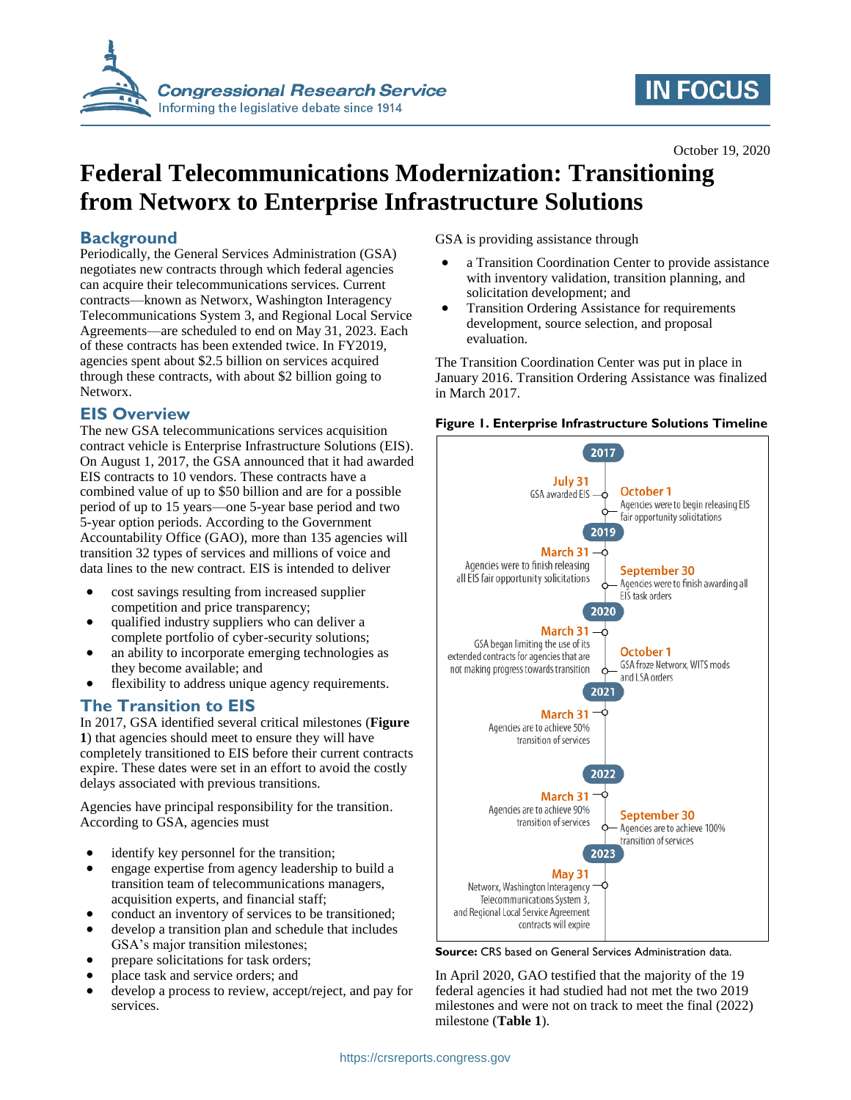

# **IN FOCUS**

October 19, 2020

## **Federal Telecommunications Modernization: Transitioning from Networx to Enterprise Infrastructure Solutions**

## **Background**

Periodically, the General Services Administration (GSA) negotiates new contracts through which federal agencies can acquire their telecommunications services. Current contracts—known as Networx, Washington Interagency Telecommunications System 3, and Regional Local Service Agreements—are scheduled to end on May 31, 2023. Each of these contracts has been extended twice. In FY2019, agencies spent about \$2.5 billion on services acquired through these contracts, with about \$2 billion going to Networx.

## **EIS Overview**

The new GSA telecommunications services acquisition contract vehicle is Enterprise Infrastructure Solutions (EIS). On August 1, 2017, the GSA announced that it had awarded EIS contracts to 10 vendors. These contracts have a combined value of up to \$50 billion and are for a possible period of up to 15 years—one 5-year base period and two 5-year option periods. According to the Government Accountability Office (GAO), more than 135 agencies will transition 32 types of services and millions of voice and data lines to the new contract. EIS is intended to deliver

- cost savings resulting from increased supplier competition and price transparency;
- qualified industry suppliers who can deliver a complete portfolio of cyber-security solutions;
- an ability to incorporate emerging technologies as they become available; and
- flexibility to address unique agency requirements.

## **The Transition to EIS**

In 2017, GSA identified several critical milestones (**[Figure](#page-0-0)  [1](#page-0-0)**) that agencies should meet to ensure they will have completely transitioned to EIS before their current contracts expire. These dates were set in an effort to avoid the costly delays associated with previous transitions.

Agencies have principal responsibility for the transition. According to GSA, agencies must

- identify key personnel for the transition;
- engage expertise from agency leadership to build a transition team of telecommunications managers, acquisition experts, and financial staff;
- conduct an inventory of services to be transitioned;
- develop a transition plan and schedule that includes GSA's major transition milestones;
- prepare solicitations for task orders;
- place task and service orders; and
- develop a process to review, accept/reject, and pay for services.

GSA is providing assistance through

- a Transition Coordination Center to provide assistance with inventory validation, transition planning, and solicitation development; and
- Transition Ordering Assistance for requirements development, source selection, and proposal evaluation.

The Transition Coordination Center was put in place in January 2016. Transition Ordering Assistance was finalized in March 2017.

#### <span id="page-0-0"></span>**Figure 1. Enterprise Infrastructure Solutions Timeline**



**Source:** CRS based on General Services Administration data.

In April 2020, GAO testified that the majority of the 19 federal agencies it had studied had not met the two 2019 milestones and were not on track to meet the final (2022) milestone (**[Table 1](#page-1-0)**).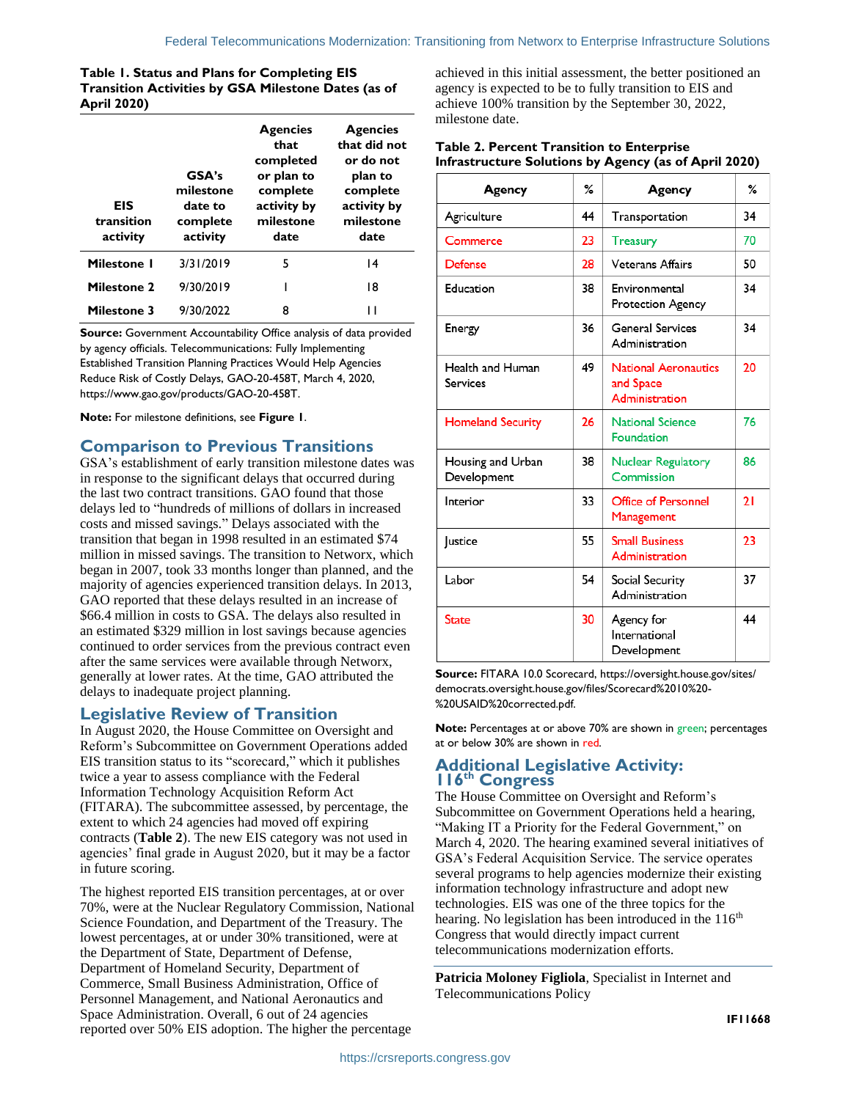#### <span id="page-1-0"></span>**Table 1. Status and Plans for Completing EIS Transition Activities by GSA Milestone Dates (as of April 2020)**

| <b>EIS</b><br>transition<br>activity | GSA's<br>milestone<br>date to<br>complete<br>activity | <b>Agencies</b><br>that<br>completed<br>or plan to<br>complete<br>activity by<br>milestone<br>date | <b>Agencies</b><br>that did not<br>or do not<br>plan to<br>complete<br>activity by<br>milestone<br>date |
|--------------------------------------|-------------------------------------------------------|----------------------------------------------------------------------------------------------------|---------------------------------------------------------------------------------------------------------|
| <b>Milestone I</b>                   | 3/31/2019                                             | 5                                                                                                  | 14                                                                                                      |
| <b>Milestone 2</b>                   | 9/30/2019                                             |                                                                                                    | 18                                                                                                      |
| <b>Milestone 3</b>                   | 9/30/2022                                             | 8                                                                                                  |                                                                                                         |

**Source:** Government Accountability Office analysis of data provided by agency officials. Telecommunications: Fully Implementing Established Transition Planning Practices Would Help Agencies Reduce Risk of Costly Delays, GAO-20-458T, March 4, 2020, https://www.gao.gov/products/GAO-20-458T.

**Note:** For milestone definitions, see **[Figure 1](#page-0-0)**.

## **Comparison to Previous Transitions**

GSA's establishment of early transition milestone dates was in response to the significant delays that occurred during the last two contract transitions. GAO found that those delays led to "hundreds of millions of dollars in increased costs and missed savings." Delays associated with the transition that began in 1998 resulted in an estimated \$74 million in missed savings. The transition to Networx, which began in 2007, took 33 months longer than planned, and the majority of agencies experienced transition delays. In 2013, GAO reported that these delays resulted in an increase of \$66.4 million in costs to GSA. The delays also resulted in an estimated \$329 million in lost savings because agencies continued to order services from the previous contract even after the same services were available through Networx, generally at lower rates. At the time, GAO attributed the delays to inadequate project planning.

### **Legislative Review of Transition**

In August 2020, the House Committee on Oversight and Reform's Subcommittee on Government Operations added EIS transition status to its "scorecard," which it publishes twice a year to assess compliance with the Federal Information Technology Acquisition Reform Act (FITARA). The subcommittee assessed, by percentage, the extent to which 24 agencies had moved off expiring contracts (**[Table 2](#page-1-1)**). The new EIS category was not used in agencies' final grade in August 2020, but it may be a factor in future scoring.

The highest reported EIS transition percentages, at or over 70%, were at the Nuclear Regulatory Commission, National Science Foundation, and Department of the Treasury. The lowest percentages, at or under 30% transitioned, were at the Department of State, Department of Defense, Department of Homeland Security, Department of Commerce, Small Business Administration, Office of Personnel Management, and National Aeronautics and Space Administration. Overall, 6 out of 24 agencies reported over 50% EIS adoption. The higher the percentage

achieved in this initial assessment, the better positioned an agency is expected to be to fully transition to EIS and achieve 100% transition by the September 30, 2022, milestone date.

#### <span id="page-1-1"></span>**Table 2. Percent Transition to Enterprise Infrastructure Solutions by Agency (as of April 2020)**

| Agency                              | ℅  | Agency                                                     | ℅  |
|-------------------------------------|----|------------------------------------------------------------|----|
| Agriculture                         | 44 | Transportation                                             | 34 |
| Commerce                            | 23 | <b>Treasury</b>                                            | 70 |
| <b>Defense</b>                      | 28 | Veterans Affairs                                           | 50 |
| Education                           | 38 | Environmental<br>Protection Agency                         | 34 |
| Energy                              | 36 | <b>General Services</b><br>Administration                  | 34 |
| Health and Human<br><b>Services</b> | 49 | <b>National Aeronautics</b><br>and Space<br>Administration | 20 |
| <b>Homeland Security</b>            | 26 | <b>National Science</b><br><b>Foundation</b>               | 76 |
| Housing and Urban<br>Development    | 38 | <b>Nuclear Regulatory</b><br>Commission                    | 86 |
| Interior                            | 33 | Office of Personnel<br>Management                          | 21 |
| <b>Justice</b>                      | 55 | <b>Small Business</b><br>Administration                    | 23 |
| Labor                               | 54 | Social Security<br>Administration                          | 37 |
| <b>State</b>                        | 30 | 44<br>Agency for<br>International<br>Development           |    |

**Source:** FITARA 10.0 Scorecard, https://oversight.house.gov/sites/ democrats.oversight.house.gov/files/Scorecard%2010%20- %20USAID%20corrected.pdf.

**Note:** Percentages at or above 70% are shown in green; percentages at or below 30% are shown in red.

## **Additional Legislative Activity: 116th Congress**

The House Committee on Oversight and Reform's Subcommittee on Government Operations held a hearing, "Making IT a Priority for the Federal Government," on March 4, 2020. The hearing examined several initiatives of GSA's Federal Acquisition Service. The service operates several programs to help agencies modernize their existing information technology infrastructure and adopt new technologies. EIS was one of the three topics for the hearing. No legislation has been introduced in the 116<sup>th</sup> Congress that would directly impact current telecommunications modernization efforts.

**Patricia Moloney Figliola**, Specialist in Internet and Telecommunications Policy